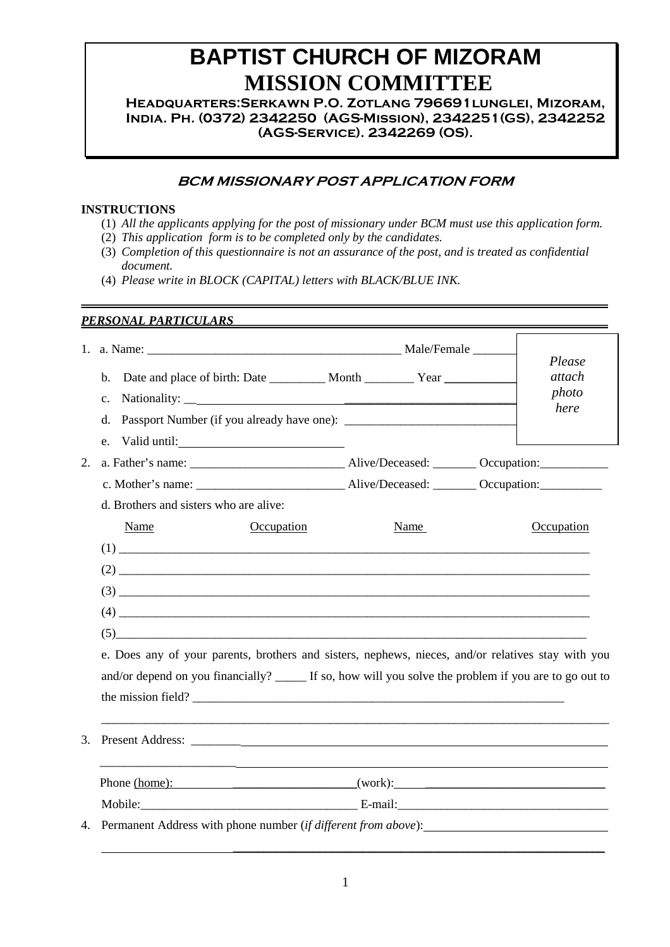# **BAPTIST CHURCH OF MIZORAM MISSION COMMITTEE**

Headquarters:Serkawn P.O. Zotlang 796691lunglei, Mizoram, India. Ph. (0372) 2342250 (AGS-Mission), 2342251(GS), 2342252 (AGS-Service). 2342269 (OS).

# BCM MISSIONARY POST APPLICATION FORM

## **INSTRUCTIONS**

- (1) *All the applicants applying for the post of missionary under BCM must use this application form.*
- (2) *This application form is to be completed only by the candidates.*
- (3) *Completion of this questionnaire is not an assurance of the post, and is treated as confidential document.*
- (4) *Please write in BLOCK (CAPITAL) letters with BLACK/BLUE INK.*

## *PERSONAL PARTICULARS*

|    |                                                                                                                                                                                                                                                                                                                                                                                                                                                       |      | Please        |
|----|-------------------------------------------------------------------------------------------------------------------------------------------------------------------------------------------------------------------------------------------------------------------------------------------------------------------------------------------------------------------------------------------------------------------------------------------------------|------|---------------|
|    | $\mathbf{b}$ .                                                                                                                                                                                                                                                                                                                                                                                                                                        |      | attach        |
|    | $\mathbf{c}$ .                                                                                                                                                                                                                                                                                                                                                                                                                                        |      | photo<br>here |
|    | d.                                                                                                                                                                                                                                                                                                                                                                                                                                                    |      |               |
|    |                                                                                                                                                                                                                                                                                                                                                                                                                                                       |      |               |
| 2. |                                                                                                                                                                                                                                                                                                                                                                                                                                                       |      |               |
|    |                                                                                                                                                                                                                                                                                                                                                                                                                                                       |      |               |
|    | d. Brothers and sisters who are alive:                                                                                                                                                                                                                                                                                                                                                                                                                |      |               |
|    | Name<br>Occupation                                                                                                                                                                                                                                                                                                                                                                                                                                    | Name | Occupation    |
|    |                                                                                                                                                                                                                                                                                                                                                                                                                                                       |      |               |
|    |                                                                                                                                                                                                                                                                                                                                                                                                                                                       |      |               |
|    |                                                                                                                                                                                                                                                                                                                                                                                                                                                       |      |               |
|    | $\qquad \qquad (4) \qquad \qquad \overbrace{\qquad \qquad }^{(4)} \qquad \qquad (5) \qquad \qquad (6) \qquad \qquad (7) \qquad \qquad (8) \qquad \qquad (8) \qquad \qquad (9) \qquad \qquad (10) \qquad \qquad (11) \qquad \qquad (12) \qquad \qquad (16) \qquad \qquad (17) \qquad \qquad (18) \qquad \qquad (19) \qquad \qquad (19) \qquad \qquad (19) \qquad \qquad (19) \qquad \qquad (10) \qquad \qquad (11) \qquad \qquad (10) \qquad \qquad ($ |      |               |
|    | $(5)$ and $(5)$ and $(5)$ and $(5)$ and $(5)$ and $(5)$ and $(5)$ and $(5)$ and $(5)$ and $(5)$ and $(5)$ and $(5)$ and $(5)$ and $(5)$ and $(5)$ and $(5)$ and $(5)$ and $(5)$ and $(5)$ and $(5)$ and $(5)$ and $(5)$ and                                                                                                                                                                                                                           |      |               |
|    | e. Does any of your parents, brothers and sisters, nephews, nieces, and/or relatives stay with you                                                                                                                                                                                                                                                                                                                                                    |      |               |
|    | and/or depend on you financially? ______ If so, how will you solve the problem if you are to go out to                                                                                                                                                                                                                                                                                                                                                |      |               |
|    | the mission field?                                                                                                                                                                                                                                                                                                                                                                                                                                    |      |               |
| 3. |                                                                                                                                                                                                                                                                                                                                                                                                                                                       |      |               |
|    |                                                                                                                                                                                                                                                                                                                                                                                                                                                       |      |               |
|    |                                                                                                                                                                                                                                                                                                                                                                                                                                                       |      |               |
| 4. | Permanent Address with phone number (if different from above):                                                                                                                                                                                                                                                                                                                                                                                        |      |               |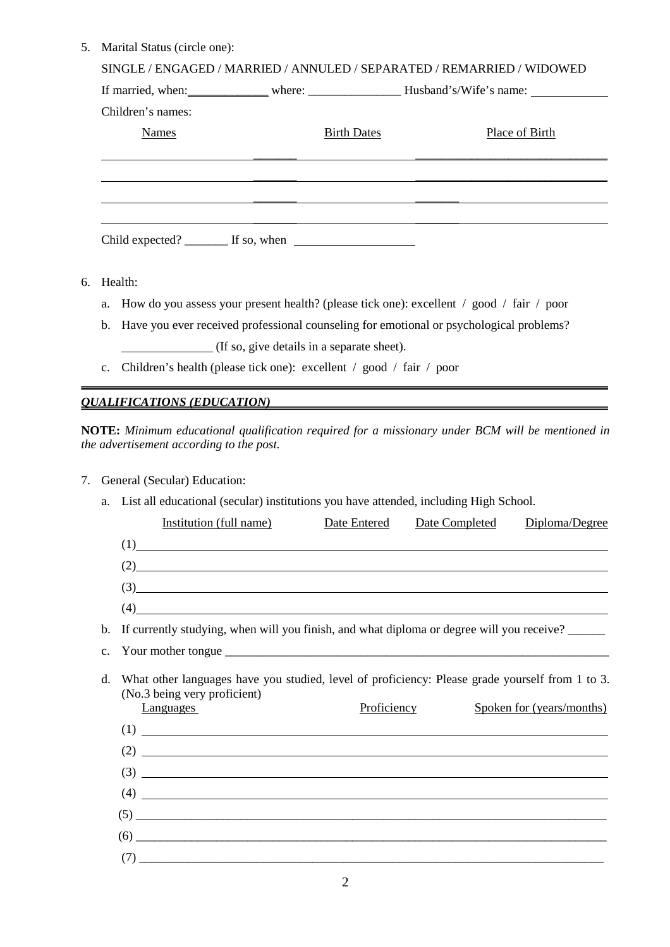| 5. | Marital Status (circle one):                                                                              |                                                                     |                                                                                             |  |  |  |  |  |  |
|----|-----------------------------------------------------------------------------------------------------------|---------------------------------------------------------------------|---------------------------------------------------------------------------------------------|--|--|--|--|--|--|
|    |                                                                                                           |                                                                     | SINGLE / ENGAGED / MARRIED / ANNULED / SEPARATED / REMARRIED / WIDOWED                      |  |  |  |  |  |  |
|    |                                                                                                           |                                                                     |                                                                                             |  |  |  |  |  |  |
|    | Children's names:                                                                                         |                                                                     |                                                                                             |  |  |  |  |  |  |
|    | <b>Names</b>                                                                                              | <b>Birth Dates</b>                                                  | Place of Birth                                                                              |  |  |  |  |  |  |
|    |                                                                                                           |                                                                     |                                                                                             |  |  |  |  |  |  |
|    |                                                                                                           |                                                                     |                                                                                             |  |  |  |  |  |  |
|    |                                                                                                           |                                                                     |                                                                                             |  |  |  |  |  |  |
|    |                                                                                                           |                                                                     |                                                                                             |  |  |  |  |  |  |
|    | Child expected? _________ If so, when                                                                     |                                                                     |                                                                                             |  |  |  |  |  |  |
|    |                                                                                                           |                                                                     |                                                                                             |  |  |  |  |  |  |
| 6. | Health:                                                                                                   |                                                                     |                                                                                             |  |  |  |  |  |  |
|    |                                                                                                           |                                                                     | a. How do you assess your present health? (please tick one): excellent / good / fair / poor |  |  |  |  |  |  |
|    | Have you ever received professional counseling for emotional or psychological problems?<br>$\mathbf{b}$ . |                                                                     |                                                                                             |  |  |  |  |  |  |
|    |                                                                                                           | (If so, give details in a separate sheet).                          |                                                                                             |  |  |  |  |  |  |
|    | $c_{\cdot}$                                                                                               | Children's health (please tick one): excellent / good / fair / poor |                                                                                             |  |  |  |  |  |  |

## *QUALIFICATIONS (EDUCATION)*

**NOTE:** *Minimum educational qualification required for a missionary under BCM will be mentioned in the advertisement according to the post.* 

- 7. General (Secular) Education:
	- a. List all educational (secular) institutions you have attended, including High School.

|                | Institution (full name)                                                                                                                                                                                                                                                                                             | Date Entered | Date Completed | Diploma/Degree            |
|----------------|---------------------------------------------------------------------------------------------------------------------------------------------------------------------------------------------------------------------------------------------------------------------------------------------------------------------|--------------|----------------|---------------------------|
|                | (1)                                                                                                                                                                                                                                                                                                                 |              |                |                           |
|                | (2)                                                                                                                                                                                                                                                                                                                 |              |                |                           |
|                | $\left(3\right)$                                                                                                                                                                                                                                                                                                    |              |                |                           |
|                | (4)                                                                                                                                                                                                                                                                                                                 |              |                |                           |
| $\mathbf{b}$ . | If currently studying, when will you finish, and what diploma or degree will you receive?                                                                                                                                                                                                                           |              |                |                           |
| $\mathbf{c}$ . |                                                                                                                                                                                                                                                                                                                     |              |                |                           |
| d.             | What other languages have you studied, level of proficiency: Please grade yourself from 1 to 3.<br>(No.3 being very proficient)<br><b>Languages</b>                                                                                                                                                                 | Proficiency  |                | Spoken for (years/months) |
|                | $(1)$ $\overline{\phantom{a}}$                                                                                                                                                                                                                                                                                      |              |                |                           |
|                |                                                                                                                                                                                                                                                                                                                     |              |                |                           |
|                | $\frac{1}{2}$ $\frac{1}{2}$ $\frac{1}{2}$ $\frac{1}{2}$ $\frac{1}{2}$ $\frac{1}{2}$ $\frac{1}{2}$ $\frac{1}{2}$ $\frac{1}{2}$ $\frac{1}{2}$ $\frac{1}{2}$ $\frac{1}{2}$ $\frac{1}{2}$ $\frac{1}{2}$ $\frac{1}{2}$ $\frac{1}{2}$ $\frac{1}{2}$ $\frac{1}{2}$ $\frac{1}{2}$ $\frac{1}{2}$ $\frac{1}{2}$ $\frac{1}{2}$ |              |                |                           |
|                | $(4)$ $\overline{\phantom{a}}$                                                                                                                                                                                                                                                                                      |              |                |                           |
|                |                                                                                                                                                                                                                                                                                                                     |              |                |                           |
|                |                                                                                                                                                                                                                                                                                                                     |              |                |                           |
|                | (7)                                                                                                                                                                                                                                                                                                                 |              |                |                           |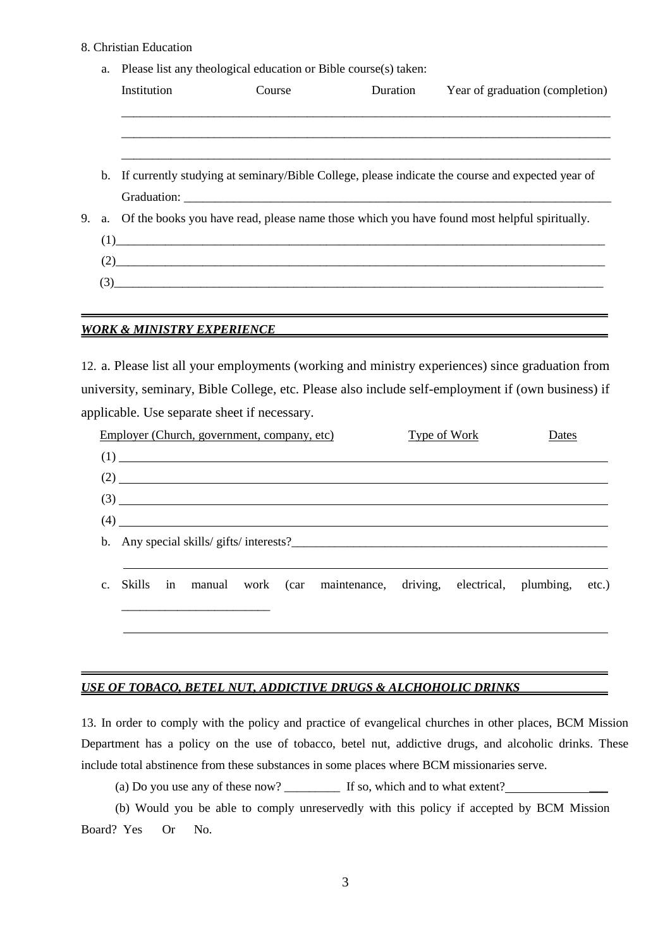#### 8. Christian Education

| a. Please list any theological education or Bible course(s) taken: |             |          |                                                                                                                                                                                                                                          |  |  |  |  |  |
|--------------------------------------------------------------------|-------------|----------|------------------------------------------------------------------------------------------------------------------------------------------------------------------------------------------------------------------------------------------|--|--|--|--|--|
|                                                                    | Course      | Duration | Year of graduation (completion)                                                                                                                                                                                                          |  |  |  |  |  |
|                                                                    |             |          |                                                                                                                                                                                                                                          |  |  |  |  |  |
|                                                                    |             |          |                                                                                                                                                                                                                                          |  |  |  |  |  |
|                                                                    |             |          |                                                                                                                                                                                                                                          |  |  |  |  |  |
|                                                                    |             |          |                                                                                                                                                                                                                                          |  |  |  |  |  |
|                                                                    |             |          |                                                                                                                                                                                                                                          |  |  |  |  |  |
|                                                                    |             |          |                                                                                                                                                                                                                                          |  |  |  |  |  |
|                                                                    |             |          |                                                                                                                                                                                                                                          |  |  |  |  |  |
|                                                                    |             |          |                                                                                                                                                                                                                                          |  |  |  |  |  |
|                                                                    |             |          |                                                                                                                                                                                                                                          |  |  |  |  |  |
|                                                                    | Institution |          | b. If currently studying at seminary/Bible College, please indicate the course and expected year of<br>9. a. Of the books you have read, please name those which you have found most helpful spiritually.<br>$\frac{1}{2}$<br>(2)<br>(3) |  |  |  |  |  |

#### *WORK & MINISTRY EXPERIENCE*

12. a. Please list all your employments (working and ministry experiences) since graduation from university, seminary, Bible College, etc. Please also include self-employment if (own business) if applicable. Use separate sheet if necessary.

|         |  | Employer (Church, government, company, etc) |  |                                                                              | Type of Work | Dates |  |
|---------|--|---------------------------------------------|--|------------------------------------------------------------------------------|--------------|-------|--|
|         |  |                                             |  | $(1)$ $\qquad$                                                               |              |       |  |
|         |  |                                             |  |                                                                              |              |       |  |
|         |  |                                             |  |                                                                              |              |       |  |
|         |  |                                             |  | (4)                                                                          |              |       |  |
|         |  |                                             |  | b. Any special skills/ gifts/ interests?                                     |              |       |  |
|         |  |                                             |  |                                                                              |              |       |  |
| $c_{-}$ |  |                                             |  | Skills in manual work (car maintenance, driving, electrical, plumbing, etc.) |              |       |  |
|         |  |                                             |  |                                                                              |              |       |  |
|         |  |                                             |  |                                                                              |              |       |  |

## *USE OF TOBACO, BETEL NUT, ADDICTIVE DRUGS & ALCHOHOLIC DRINKS*

13. In order to comply with the policy and practice of evangelical churches in other places, BCM Mission Department has a policy on the use of tobacco, betel nut, addictive drugs, and alcoholic drinks. These include total abstinence from these substances in some places where BCM missionaries serve.

(a) Do you use any of these now? \_\_\_\_\_\_\_\_\_\_\_\_ If so, which and to what extent?

 (b) Would you be able to comply unreservedly with this policy if accepted by BCM Mission Board? Yes Or No.